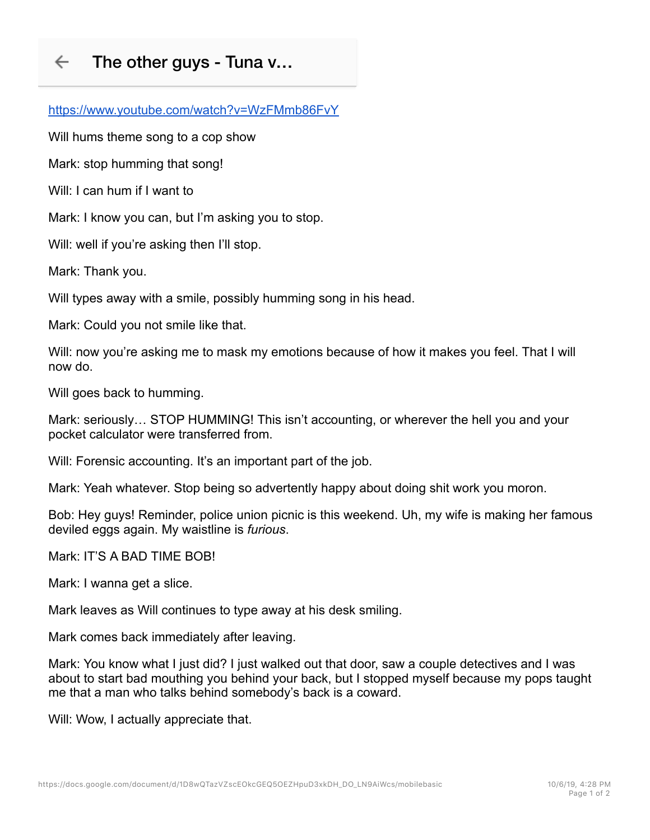## $\leftarrow$ The other guys - Tuna v…

https://www.youtube.com/watch?v=WzFMmb86FvY

Will hums theme song to a cop show

Mark: stop humming that song!

Will: I can hum if I want to

Mark: I know you can, but I'm asking you to stop.

Will: well if you're asking then I'll stop.

Mark: Thank you.

Will types away with a smile, possibly humming song in his head.

Mark: Could you not smile like that.

Will: now you're asking me to mask my emotions because of how it makes you feel. That I will now do.

Will goes back to humming.

Mark: seriously… STOP HUMMING! This isn't accounting, or wherever the hell you and your pocket calculator were transferred from.

Will: Forensic accounting. It's an important part of the job.

Mark: Yeah whatever. Stop being so advertently happy about doing shit work you moron.

Bob: Hey guys! Reminder, police union picnic is this weekend. Uh, my wife is making her famous deviled eggs again. My waistline is *furious*.

Mark: IT'S A BAD TIME BOB!

Mark: I wanna get a slice.

Mark leaves as Will continues to type away at his desk smiling.

Mark comes back immediately after leaving.

Mark: You know what I just did? I just walked out that door, saw a couple detectives and I was about to start bad mouthing you behind your back, but I stopped myself because my pops taught me that a man who talks behind somebody's back is a coward.

Will: Wow, I actually appreciate that.